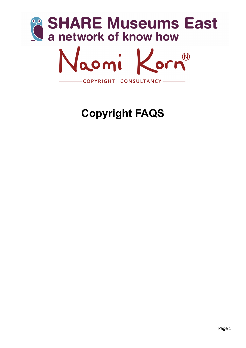

# **Copyright FAQS**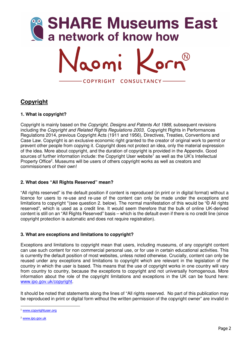

# **Copyright**

# **1. What is copyright?**

Copyright is mainly based on the *Copyright, Designs and Patents Act 1988*, subsequent revisions including the *Copyright and Related Rights Regulations 2003,* Copyright Rights in Performances Regulations 2014, previous Copyright Acts (1911 and 1956), Directives, Treaties, Conventions and Case Law. Copyright is an exclusive economic right granted to the creator of original work to permit or prevent other people from copying it. Copyright does not protect an idea, only the material expression of the idea. More about copyright, and the duration of copyright is provided in the Appendix. Good sources of further information include: the Copyright User website<sup>1</sup> as well as the UK's Intellectual Property Office<sup>2</sup>. Museums will be users of others copyright works as well as creators and commissioners of their own!

# **2. What does "All Rights Reserved" mean?**

"All rights reserved" is the default position if content is reproduced (in print or in digital format) without a licence for users to re-use and re-use of the content can only be made under the exceptions and limitations to copyright \*(see question 2. below). The normal manifestation of this would be "© All rights reserved", which is used as a credit line. It would seem therefore that the bulk of online UK-derived content is still on an "All Rights Reserved" basis – which is the default even if there is no credit line (since copyright protection is automatic and does not require registration).

#### **3. What are exceptions and limitations to copyright?**

Exceptions and limitations to copyright mean that users, including museums, of any copyright content can use such content for non commercial personal use, or for use in certain educational activities. This is currently the default position of most websites, unless noted otherwise. Crucially, content can only be reused under any exceptions and limitations to copyright which are relevant in the legislation of the country in which the user is based. This means that the use of copyright works in one country will vary from country to country, because the exceptions to copyright and not universally homogenous. More information about the role of the copyright limitations and exceptions in the UK can be found here: www.ipo.gov.uk/copyright.

It should be noted that statements along the lines of "All rights reserved. No part of this publication may be reproduced in print or digital form without the written permission of the copyright owner" are invalid in

 <sup>1</sup> www.copyrightuser.org

<sup>2</sup> www.ipo.gov.uk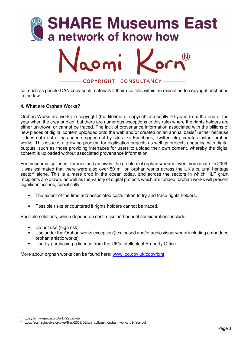

so much as people CAN copy such materials if their use falls within an exception to copyright enshrined in the law.

#### **4. What are Orphan Works?**

Orphan Works are works in copyright (the lifetime of copyright is usually 70 years from the end of the year when the creator died, but there are numerous exceptions to this rule) where the rights holders are either unknown or cannot be traced. The lack of provenance information associated with the billions of new pieces of digital content uploaded onto the web and/or created on an annual basis<sup>3</sup> (either because it does not exist or has been stripped out by sites like Facebook, Twitter, etc), creates instant orphan works. This issue is a growing problem for digitisation projects as well as projects engaging with digital outputs, such as those providing interfaces for users to upload their own content, whereby the digital content is uploaded without associated provenance information.

For museums, galleries, libraries and archives, the problem of orphan works is even more acute. In 2009, it was estimated that there were also over 50 million orphan works across the UK's cultural heritage sector<sup>4</sup> alone. This is a mere drop in the ocean today, and across the sectors in which HLF grant recipients are drawn, as well as the variety of digital projects which are funded, orphan works will present significant issues, specifically:

- The extent of the time and associated costs taken to try and trace rights holders.
- Possible risks encountered if rights holders cannot be traced.

Possible solutions, which depend on cost, risks and benefit considerations include:

- Do not use (high risk)
- Use under the Orphan works exception (text based and/or audio visual works including embedded orphan artistic works)
- Use by purchasing a licence from the UK's Intellectual Property Office

More about orphan works can be found here: www.ipo.gov.uk/copyright

<sup>1</sup> 3 https://en.wikipedia.org/wiki/Zettabyte

<sup>4</sup> https://sca.jiscinvolve.org/wp/files/2009/06/sca\_colltrust\_orphan\_works\_v1-final.pdf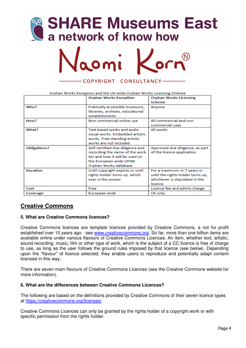



#### Orphan Works Exception and the UK-wide Orphan Works Licensing Scheme

|                 | <b>Orphan Works Exception</b>                      | <b>Orphan Works Licensing</b>     |
|-----------------|----------------------------------------------------|-----------------------------------|
|                 |                                                    | Scheme                            |
| Who?            | Publically accessible museums,                     | Anyone                            |
|                 | libraries, archives, educational<br>establishments |                                   |
| How?            | Non commercial online use                          | All commercial and non            |
|                 |                                                    | commercial uses                   |
| What?           | Text based works and audio                         | <b>All works</b>                  |
|                 | visual works. Embedded artistic                    |                                   |
|                 | works. Free-standing artistic                      |                                   |
|                 | works are not included                             |                                   |
| Obligations?    | Self-certified due diligence and                   | Approved due diligence, as part   |
|                 | recording the name of the work                     | of the licence application        |
|                 | etc and how it will be used on                     |                                   |
|                 | the European-wide OHIM                             |                                   |
|                 | Orphan Works database                              |                                   |
| <b>Duration</b> | Until copyright expires or until                   | For a maximum or 7 years or       |
|                 | rights holder turns up, which                      | until the rights holder turns up, |
|                 | ever is the sooner                                 | whichever is stipulated in the    |
|                 |                                                    | licence                           |
| Cost            | Free                                               | Licence fee and admin charge      |
| Coverage        | European-wide                                      | UK only                           |

# **Creative Commons**

#### **5. What are Creative Commons licences?**

Creative Commons licences are template licences provided by Creative Commons, a not for profit established over 10 years ago - see www.creativecommons.org. So far, more than one billion items are available online under various flavours of Creative Commons Licences. An item, whether text, artistic, sound recording, music, film or other type of work, which is the subject of a CC licence is free of charge to use, as long as the user follows the ground rules imposed by that licence (see below). Depending upon the "flavour" of licence selected, they enable users to reproduce and potentially adapt content licensed in this way.

There are seven main flavours of Creative Commons Licences (see the Creative Commons website for more information).

#### **6. What are the differences between Creative Commons Licences?**

The following are based on the definitions provided by Creative Commons of their seven licence types at https://creativecommons.org/licenses/

Creative Commons Licences can only be granted by the rights holder of a copyright work or with specific permission from the rights holder.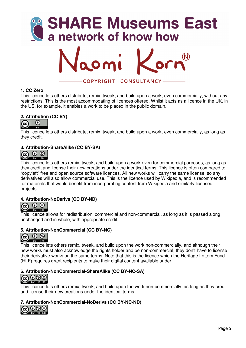



#### **1. CC Zero**

This licence lets others distribute, remix, tweak, and build upon a work, even commercially, without any restrictions. This is the most accommodating of licences offered. Whilst it acts as a licence in the UK, in the US, for example, it enables a work to be placed in the public domain.

# **2. Attribution (CC BY)**



This licence lets others distribute, remix, tweak, and build upon a work, even commercially, as long as they credit.

#### **3. Attribution-ShareAlike (CC BY-SA)**



This licence lets others remix, tweak, and build upon a work even for commercial purposes, as long as they credit and license their new creations under the identical terms. This licence is often compared to "copyleft" free and open source software licences. All new works will carry the same license, so any derivatives will also allow commercial use. This is the licence used by Wikipedia, and is recommended for materials that would benefit from incorporating content from Wikipedia and similarly licensed projects.

#### **4. Attribution-NoDerivs (CC BY-ND)**



This licence allows for redistribution, commercial and non-commercial, as long as it is passed along unchanged and in whole, with appropriate credit.

#### **5. Attribution-NonCommercial (CC BY-NC)**



This licence lets others remix, tweak, and build upon the work non-commercially, and although their new works must also acknowledge the rights holder and be non-commercial, they don't have to license their derivative works on the same terms. Note that this is the licence which the Heritage Lottery Fund (HLF) requires grant recipients to make their digital content available under.

# **6. Attribution-NonCommercial-ShareAlike (CC BY-NC-SA)**<br> **CC 0 9 9**



This licence lets others remix, tweak, and build upon the work non-commercially, as long as they credit and license their new creations under the identical terms.

#### **7. Attribution-NonCommercial-NoDerivs (CC BY-NC-ND)**

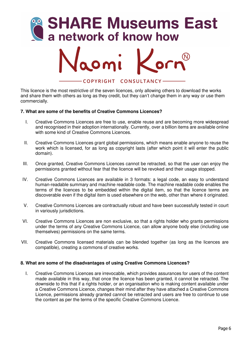

This licence is the most restrictive of the seven licences, only allowing others to download the works and share them with others as long as they credit, but they can't change them in any way or use them commercially.

#### **7. What are some of the benefits of Creative Commons Licences?**

- I. Creative Commons Licences are free to use, enable reuse and are becoming more widespread and recognised in their adoption internationally. Currently, over a billion items are available online with some kind of Creative Commons Licences.
- II. Creative Commons Licences grant global permissions, which means enable anyone to reuse the work which is licensed, for as long as copyright lasts (after which point it will enter the public domain).
- III. Once granted, Creative Commons Licences cannot be retracted, so that the user can enjoy the permissions granted without fear that the licence will be revoked and their usage stopped.
- IV. Creative Commons Licences are available in 3 formats: a legal code, an easy to understand human-readable summary and machine readable code. The machine readable code enables the terms of the licences to be embedded within the digital item, so that the licence terms are discoverable even if the digital item is used elsewhere on the web, other than where it originated.
- V. Creative Commons Licences are contractually robust and have been successfully tested in court in variously jurisdictions.
- VI. Creative Commons Licences are non exclusive, so that a rights holder who grants permissions under the terms of any Creative Commons Licence, can allow anyone body else (including use themselves) permissions on the same terms.
- VII. Creative Commons licensed materials can be blended together (as long as the licences are compatible), creating a commons of creative works.

#### **8. What are some of the disadvantages of using Creative Commons Licences?**

I. Creative Commons Licences are irrevocable, which provides assurances for users of the content made available in this way, that once the licence has been granted, it cannot be retracted. The downside to this that if a rights holder, or an organisation who is making content available under a Creative Commons Licence, changes their mind after they have attached a Creative Commons Licence, permissions already granted cannot be retracted and users are free to continue to use the content as per the terms of the specific Creative Commons Licence.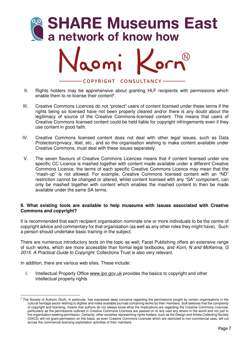



- II. Rights holders may be apprehensive about granting HLF recipients with permissions which enable them to re-license their content<sup>5</sup>.
- III. Creative Commons Licences do not "protect" users of content licensed under these terms if the rights being so licensed have not been properly cleared and/or there is any doubt about the legitimacy of source of the Creative Commons-licensed content. This means that users of Creative Commons licensed content could be held liable for copyright infringements even if they use content in good faith.
- IV. Creative Commons licensed content does not deal with other legal issues, such as Data Protection/privacy, libel, etc., and so the organisation wishing to make content available under Creative Commons, must deal with these issues separately.
- V. The seven flavours of Creative Commons Licences means that if content licensed under one specific CC Licence is mashed together with content made available under a different Creative Commons Licence, the terms of each specific Creative Commons Licence may mean that the "mash-up" is not allowed. For example, Creative Commons licensed content with an "ND" restriction cannot be changed or altered, whilst content licensed with any "SA" component, can only be mashed together with content which enables the mashed content to then be made available under the same SA terms.

#### **9. What existing tools are available to help museums with issues associated with Creative Commons and copyright?**

It is recommended that each recipient organisation nominate one or more individuals to be the centre of copyright advice and commentary for that organisation (as well as any other roles they might have). Such a person should undertake basic training in the subject.

There are numerous introductory texts on the topic as well; Facet Publishing offers an extensive range of such works, which are more accessible than formal legal textbooks, and *Korn, N and McKenna, G 2015. A Practical Guide to Copyright.* Collections Trust is also very relevant.

In addition, there are various web sites. These include:

I. Intellectual Property Office www.ipo.gov.uk provides the basics to copyright and other intellectual property rights

<sup>&</sup>lt;sup>5</sup> The Society of Authors (SoA), in particular, has expressed deep concerns regarding the permissions sought by certain organisations in the cultural heritage sector wishing to digitise and make available journals containing works by their members. SoA believes that the complexity of copyright and licensing, means that authors do not always know what the implications are regarding the Creative Commons Licences, particularly as the permissions outlined in Creative Commons Licences are passed on to any user any where in the world and not just to the organisation seeking permission. Certainly, other societies representing rights holders, such as the Design and Artists Collecting Society (DACS) will not grant permission on this basis, as even Creative Commons Licences which are restricted to non commercial uses, will cut across the commercial licensing exploitation activities of their members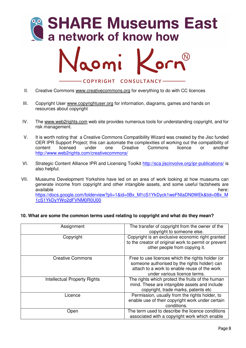



- II. Creative Commons www.creativecommons.org for everything to do with CC licences
- III. Copyright User www.copyrightuser.org for information, diagrams, games and hands on resources about copyright
- IV. The www.web2rights.com web site provides numerous tools for understanding copyright, and for risk management.
- V. It is worth noting that a Creative Commons Compatibility Wizard was created by the Jisc funded OER IPR Support Project; this can automate the complexities of working out the compatibility of content licensed under one Creative Commons licence or another http://www.web2rights.com/creativecommons/
- VI. Strategic Content Alliance IPR and Licensing Toolkit http://sca.jiscinvolve.org/ipr-publications/ is also helpful.
- VII. Museums Development Yorkshire have led on an area of work looking at how museums can generate income from copyright and other intangible assets, and some useful factsheets are available here: here: here: here: here: here: here: here: here: here: here: here: here: here: here:  $\sim$  here:  $\sim$  here:  $\sim$  here:  $\sim$  here:  $\sim$  here:  $\sim$  here:  $\sim$  here:  $\sim$  here:  $\sim$  here:  $\sim$  here:  $\sim$  here: https://docs.google.com/folderview?pli=1&id=0Bx\_M1cS1YkDyck1weFNIaDN0WEk&tid=0Bx\_M 1cS1YkDyYWo2dFVNM0R0U00

#### **10. What are some the common terms used relating to copyright and what do they mean?**

| Assignment                          | The transfer of copyright from the owner of the<br>copyright to someone else.                                                                                                    |
|-------------------------------------|----------------------------------------------------------------------------------------------------------------------------------------------------------------------------------|
| Copyright                           | Copyright is an exclusive economic right granted<br>to the creator of original work to permit or prevent<br>other people from copying it.                                        |
| <b>Creative Commons</b>             | Free to use licences which the rights holder (or<br>someone authorised by the rights holder) can<br>attach to a work to enable reuse of the work<br>under various licence terms. |
| <b>Intellectual Property Rights</b> | The rights which protect the fruits of the human<br>mind. These are intangible assets and include<br>copyright, trade marks, patents etc                                         |
| Licence                             | Permission, usually from the rights holder, to<br>enable use of their copyright work under certain<br>conditions.                                                                |
| Open                                | The term used to describe the licence conditions<br>associated with a copyright work which enable                                                                                |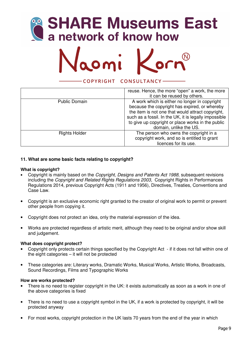# **SHARE Museums East<br>a network of know how**



#### COPYRIGHT CONSULTANCY-

|                      | reuse. Hence, the more "open" a work, the more<br>it can be reused by others.                                                                                                                                                                                                               |
|----------------------|---------------------------------------------------------------------------------------------------------------------------------------------------------------------------------------------------------------------------------------------------------------------------------------------|
| <b>Public Domain</b> | A work which is either no longer in copyright<br>because the copyright has expired, or whereby<br>the item is not one that would attract copyright,<br>such as a fossil. In the UK, it is legally impossible<br>to give up copyright or place works in the public<br>domain, unlike the US. |
| <b>Rights Holder</b> | The person who owns the copyright in a<br>copyright work, and so is entitled to grant<br>licences for its use.                                                                                                                                                                              |

# **11. What are some basic facts relating to copyright?**

#### **What is copyright?**

- Copyright is mainly based on the *Copyright, Designs and Patents Act 1988*, subsequent revisions including the *Copyright and Related Rights Regulations 2003,* Copyright Rights in Performances Regulations 2014, previous Copyright Acts (1911 and 1956), Directives, Treaties, Conventions and Case Law.
- Copyright is an exclusive economic right granted to the creator of original work to permit or prevent other people from copying it.
- Copyright does not protect an idea, only the material expression of the idea.
- Works are protected regardless of artistic merit, although they need to be original and/or show skill and judgement.

#### **What does copyright protect?**

- Copyright only protects certain things specified by the Copyright Act if it does not fall within one of the eight categories – it will not be protected
- These categories are: Literary works, Dramatic Works, Musical Works, Artistic Works, Broadcasts, Sound Recordings, Films and Typographic Works

#### **How are works protected?**

- There is no need to register copyright in the UK: it exists automatically as soon as a work in one of the above categories is fixed
- There is no need to use a copyright symbol in the UK, if a work is protected by copyright, it will be protected anyway
- For most works, copyright protection in the UK lasts 70 years from the end of the year in which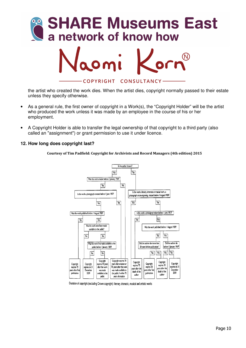

the artist who created the work dies. When the artist dies, copyright normally passed to their estate unless they specify otherwise.

- As a general rule, the first owner of copyright in a Work(s), the "Copyright Holder" will be the artist who produced the work unless it was made by an employee in the course of his or her employment.
- A Copyright Holder is able to transfer the legal ownership of that copyright to a third party (also called an "assignment") or grant permission to use it under licence.

#### **12. How long does copyright last?**

**Courtesy of Tim Padfield: Copyright for Archivists and Record Managers (4th edition) 2015**



Duration of copyright (excluding Crown copyright): literary, dramatic, musical and artistic works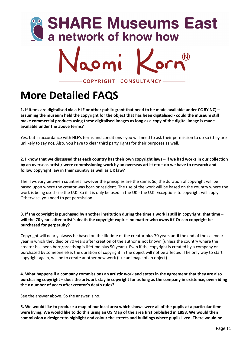



**More Detailed FAQS** 

**1. If items are digitalised via a HLF or other public grant that need to be made available under CC BY NC) – assuming the museum held the copyright for the object that has been digitalised - could the museum still make commercial products using these digitalised images as long as a copy of the digital image is made available under the above terms?** 

Yes, but in accordance with HLF's terms and conditions - you will need to ask their permission to do so (they are unlikely to say no). Also, you have to clear third party rights for their purposes as well.

**2. I know that we discussed that each country has their own copyright laws – if we had works in our collection by an overseas artist / were commissioning work by an overseas artist etc – do we have to research and follow copyright law in their country as well as UK law?** 

The laws vary between countries however the principles are the same. So, the duration of copyright will be based upon where the creator was born or resident. The use of the work will be based on the country where the work is being used - i.e the U.K. So if it is only be used in the UK - the U.K. Exceptions to copyright will apply. Otherwise, you need to get permission.

#### **3. If the copyright is purchased by another institution during the time a work is still in copyright, that time – will the 70 years after artist's death the copyright expires no matter who owns it? Or can copyright be purchased for perpetuity?**

Copyright will nearly always be based on the lifetime of the creator plus 70 years until the end of the calendar year in which they died or 70 years after creation of the author is not known (unless the country where the creator has been born/practising is lifetime plus 50 years). Even if the copyright is created by a company or purchased by someone else, the duration of copyright in the object will not be affected. The only way to start copyright again, will be to create another new work (like an image of an object).

**4. What happens if a company commissions an artistic work and states in the agreement that they are also purchasing copyright – does the artwork stay in copyright for as long as the company in existence, over-riding the x number of years after creator's death rules?** 

See the answer above. So the answer is no.

**5. We would like to produce a map of our local area which shows were all of the pupils at a particular time were living. We would like to do this using an OS Map of the area first published in 1898. We would then commission a designer to highlight and colour the streets and buildings where pupils lived. There would be**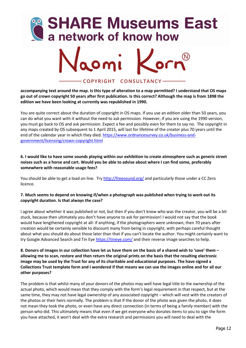



**accompanying text around the map. Is this type of alteration to a map permitted? I understand that OS maps go out of crown copyright 50 years after first publication. Is this correct? Although the map is from 1898 the edition we have been looking at currently was republished in 1990.** 

You are quite correct about the duration of copyright in OS maps. If you use an edition older than 50 years, you can do what you want with it without the need to ask permission. However, if you are using the 1990 version, you must go back to OS and ask permission. Expect a fee and possibly even for them to say no. The copyright in any maps created by OS subsequent to 1 April 2015, will last for lifetime of the creator plus 70 years until the end of the calendar year in which they died. https://www.ordnancesurvey.co.uk/business-andgovernment/licensing/crown-copyright.html

#### **6. I would like to have some sounds playing within our exhibition to create atmosphere such as generic street noises such as a horse and cart. Would you be able to advise about where I can find some, preferably somewhere with reasonable usage fees?**

You should be able to get a load on line. Try http://freesound.org/ and particularly those under a CC Zero licence.

#### **7. Much seems to depend on knowing if/when a photograph was published when trying to work out its copyright duration. Is that always the case?**

I agree about whether it was published or not, but then if you don't know who was the creator, you will be a bit stuck, because then ultimately you don't have anyone to ask for permission! I would not say that the book would have lengthened copyright at all- if anything, if the photographers were unknown, then 70 years after creation would be certainly sensible to discount many from being in copyright, with perhaps careful thought about what you should do about those later than that if you can't locate the author. You might certainly want to try Google Advanced Search and Tin Eye https://tineye.com/ and their reverse image searches to help.

#### **8. Donors of images in our collection have let us have them on the basis of a shared wish to 'save' them – allowing me to scan, restore and then return the original prints on the basis that the resulting electronic image may be used by the Trust for any of its charitable and educational purposes. The have signed a Collections Trust template form and I wondered if that means we can use the images online and for all our other purposes?**

The problem is that whilst many of your donors of the photos may well have legal title to the ownership of the actual photo, which would mean that they comply with the form's legal requirement in that respect, but at the same time, they may not have legal ownership of any associated copyright – which will vest with the creators of the photos or their heirs normally. The problem is that if the donor of the photo was given the photo, it does not mean they took the photo, or even have any direct connection (in terms of being a family member) with the person who did. This ultimately means that even if we get everyone who donates items to you to sign the form you have attached, it won't deal with the extra research and permissions you will need to deal with the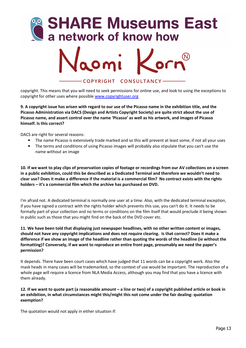



copyright. This means that you will need to seek permissions for online use, and look to using the exceptions to copyright for other uses where possible www.copyrightuser.org

**9. A copyright issue has arisen with regard to our use of the Picasso name in the exhibition title, and the Picasso Administration via DACS (Design and Artists Copyright Society) are quite strict about the use of Picasso name, and assert control over the name 'Picasso' as well as his artwork, and images of Picasso himself. Is this correct?** 

DACS are right for several reasons:

- The name Picasso is extensively trade marked and so this will prevent at least some, if not all your uses
- The terms and conditions of using Picasso images will probably also stipulate that you can't use the name without an image

**10. If we want to play clips of preservation copies of footage or recordings from our AV collections on a screen in a public exhibition, could this be described as a Dedicated Terminal and therefore we wouldn't need to clear use? Does it make a difference if the material is a commercial film? No contract exists with the rights holders – it's a commercial film which the archive has purchased on DVD.** 

I'm afraid not. A dedicated terminal is normally one user at a time. Also, with the dedicated terminal exception, if you have signed a contract with the rights holder which prevents this use, you can't do it. It needs to be formally part of your collection and no terms or conditions on the film itself that would preclude it being shown in public such as those that you might find on the back of the DVD cover etc.

**11. We have been told that displaying just newspaper headlines, with no other written content or images, should not have any copyright implications and does not require clearing. Is that correct? Does it make a difference if we show an image of the headline rather than quoting the words of the headline (ie without the formatting)? Conversely, if we want to reproduce an entire front page, presumably we need the paper's permission?** 

It depends. There have been court cases which have judged that 11 words can be a copyright work. Also the mask heads in many cases will be trademarked, so the context of use would be important. The reproduction of a whole page will require a licence from NLA Media Access, although you may find that you have a licence with them already.

#### **12. If we want to quote part (a reasonable amount – a line or two) of a copyright published article or book in an exhibition, in what circumstances might this/might this not come under the fair dealing: quotation exemption?**

The quotation would not apply in either situation if: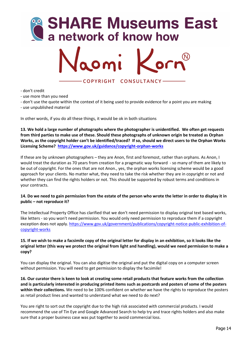



- don't credit

- use more than you need

- don't use the quote within the context of it being used to provide evidence for a point you are making

- use unpublished material

In other words, if you do all these things, it would be ok in both situations

**13. We hold a large number of photographs where the photographer is unidentified. We often get requests from third parties to make use of these. Should these photographs of unknown origin be treated as Orphan Works, as the copyright holder can't be identified/traced? If so, should we direct users to the Orphan Works Licensing Scheme? https://www.gov.uk/guidance/copyright-orphan-works**

If these are by unknown photographers – they are Anon, first and foremost, rather than orphans. As Anon, I would treat the duration as 70 years from creation for a pragmatic way forward - so many of them are likely to be out of copyright. For the ones that are not Anon., yes, the orphan works licensing scheme would be a good approach for your clients. No matter what, they need to take the risk whether they are in copyright or not and whether they can find the rights holders or not. This should be supported by robust terms and conditions in your contracts.

#### **14. Do we need to gain permission from the estate of the person who wrote the letter in order to display it in public – not reproduce it?**

The Intellectual Property Office has clarified that we don't need permission to display original text based works, like letters - so you won't need permission. You would only need permission to reproduce them if a copyright exception does not apply. https://www.gov.uk/government/publications/copyright-notice-public-exhibition-ofcopyright-works

#### **15. If we wish to make a facsimile copy of the original letter for display in an exhibition, so it looks like the original letter (this way we protect the original from light and handling), would we need permission to make a copy?**

You can display the original. You can also digitise the original and put the digital copy on a computer screen without permission. You will need to get permission to display the facsimile!

**16. Our curator there is keen to look at creating some retail products that feature works from the collection and is particularly interested in producing printed items such as postcards and posters of some of the posters**  within their collections. We need to be 100% confident on whether we have the rights to reproduce the posters as retail product lines and wanted to understand what we need to do next?

You are right to sort out the copyright due to the high risk associated with commercial products. I would recommend the use of Tin Eye and Google Advanced Search to help try and trace rights holders and also make sure that a proper business case was put together to avoid commercial loss.